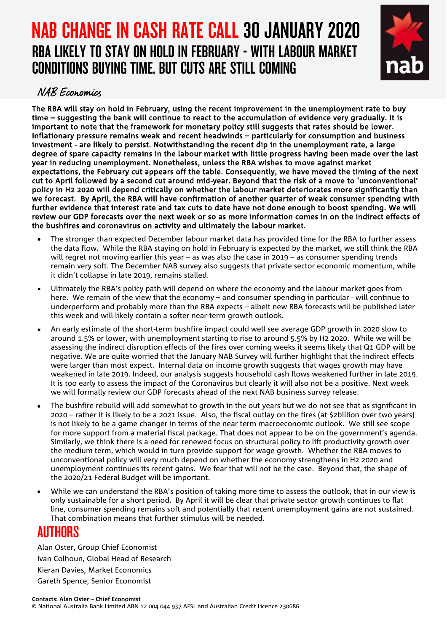# NAB CHANGE IN CASH RATE CALL 30 JANUARY 2020 RBA LIKELY TO STAY ON HOLD IN FEBRUARY - WITH LABOUR MARKET CONDITIONS BUYING TIME. BUT CUTS ARE STILL COMING



## NAB Economics

The RBA will stay on hold in February, using the recent improvement in the unemployment rate to buy time – suggesting the bank will continue to react to the accumulation of evidence very gradually. It is important to note that the framework for monetary policy still suggests that rates should be lower. Inflationary pressure remains weak and recent headwinds – particularly for consumption and business investment - are likely to persist. Notwithstanding the recent dip in the unemployment rate, a large degree of spare capacity remains in the labour market with little progress having been made over the last year in reducing unemployment. Nonetheless, unless the RBA wishes to move against market expectations, the February cut appears off the table. Consequently, we have moved the timing of the next cut to April followed by a second cut around mid-year. Beyond that the risk of a move to 'unconventional' policy in H2 2020 will depend critically on whether the labour market deteriorates more significantly than we forecast. By April, the RBA will have confirmation of another quarter of weak consumer spending with further evidence that interest rate and tax cuts to date have not done enough to boost spending. We will review our GDP forecasts over the next week or so as more information comes in on the indirect effects of the bushfires and coronavirus on activity and ultimately the labour market.

- The stronger than expected December labour market data has provided time for the RBA to further assess the data flow. While the RBA staying on hold in February is expected by the market, we still think the RBA will regret not moving earlier this year – as was also the case in 2019 – as consumer spending trends remain very soft. The December NAB survey also suggests that private sector economic momentum, while it didn't collapse in late 2019, remains stalled.
- Ultimately the RBA's policy path will depend on where the economy and the labour market goes from here. We remain of the view that the economy – and consumer spending in particular - will continue to underperform and probably more than the RBA expects – albeit new RBA forecasts will be published later this week and will likely contain a softer near-term growth outlook.
- An early estimate of the short-term bushfire impact could well see average GDP growth in 2020 slow to around 1.5% or lower, with unemployment starting to rise to around 5.5% by H2 2020. While we will be assessing the indirect disruption effects of the fires over coming weeks it seems likely that Q1 GDP will be negative. We are quite worried that the January NAB Survey will further highlight that the indirect effects were larger than most expect. Internal data on income growth suggests that wages growth may have weakened in late 2019. Indeed, our analysis suggests household cash flows weakened further in late 2019. It is too early to assess the impact of the Coronavirus but clearly it will also not be a positive. Next week we will formally review our GDP forecasts ahead of the next NAB business survey release.
- The bushfire rebuild will add somewhat to growth in the out years but we do not see that as significant in 2020 – rather it is likely to be a 2021 issue. Also, the fiscal outlay on the fires (at \$2billion over two years) is not likely to be a game changer in terms of the near term macroeconomic outlook. We still see scope for more support from a material fiscal package. That does not appear to be on the government's agenda. Similarly, we think there is a need for renewed focus on structural policy to lift productivity growth over the medium term, which would in turn provide support for wage growth. Whether the RBA moves to unconventional policy will very much depend on whether the economy strengthens in H2 2020 and unemployment continues its recent gains. We fear that will not be the case. Beyond that, the shape of the 2020/21 Federal Budget will be important.
- While we can understand the RBA's position of taking more time to assess the outlook, that in our view is only sustainable for a short period. By April it will be clear that private sector growth continues to flat line, consumer spending remains soft and potentially that recent unemployment gains are not sustained. That combination means that further stimulus will be needed.

## AUTHORS

Alan Oster, Group Chief Economist Ivan Colhoun, Global Head of Research Kieran Davies, Market Economics Gareth Spence, Senior Economist